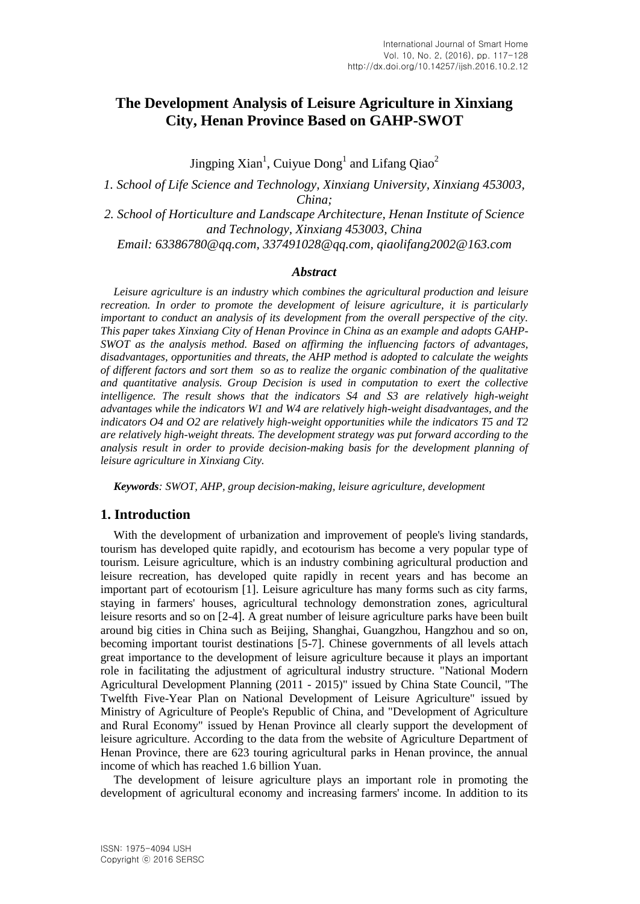# **The Development Analysis of Leisure Agriculture in Xinxiang City, Henan Province Based on GAHP-SWOT**

Jingping Xian<sup>1</sup>, Cuiyue Dong<sup>1</sup> and Lifang Qiao<sup>2</sup>

*1. School of Life Science and Technology, Xinxiang University, Xinxiang 453003, China; 2. School of Horticulture and Landscape Architecture, Henan Institute of Science and Technology, Xinxiang 453003, China*

*Email: 63386780@qq.com, 337491028@qq.com, qiaolifang2002@163.com*

#### *Abstract*

*Leisure agriculture is an industry which combines the agricultural production and leisure recreation. In order to promote the development of leisure agriculture, it is particularly important to conduct an analysis of its development from the overall perspective of the city. This paper takes Xinxiang City of Henan Province in China as an example and adopts GAHP-SWOT as the analysis method. Based on affirming the influencing factors of advantages, disadvantages, opportunities and threats, the AHP method is adopted to calculate the weights of different factors and sort them so as to realize the organic combination of the qualitative and quantitative analysis. Group Decision is used in computation to exert the collective intelligence. The result shows that the indicators S4 and S3 are relatively high-weight advantages while the indicators W1 and W4 are relatively high-weight disadvantages, and the indicators O4 and O2 are relatively high-weight opportunities while the indicators T5 and T2 are relatively high-weight threats. The development strategy was put forward according to the analysis result in order to provide decision-making basis for the development planning of leisure agriculture in Xinxiang City.*

*Keywords: SWOT, AHP, group decision-making, leisure agriculture, development*

### **1. Introduction**

With the development of urbanization and improvement of people's living standards, tourism has developed quite rapidly, and ecotourism has become a very popular type of tourism. Leisure agriculture, which is an industry combining agricultural production and leisure recreation, has developed quite rapidly in recent years and has become an important part of ecotourism [1]. Leisure agriculture has many forms such as city farms, staying in farmers' houses, agricultural technology demonstration zones, agricultural leisure resorts and so on [2-4]. A great number of leisure agriculture parks have been built around big cities in China such as Beijing, Shanghai, Guangzhou, Hangzhou and so on, becoming important tourist destinations [5-7]. Chinese governments of all levels attach great importance to the development of leisure agriculture because it plays an important role in facilitating the adjustment of agricultural industry structure. "National Modern Agricultural Development Planning (2011 - 2015)" issued by China State Council, "The Twelfth Five-Year Plan on National Development of Leisure Agriculture" issued by Ministry of Agriculture of People's Republic of China, and "Development of Agriculture and Rural Economy" issued by Henan Province all clearly support the development of leisure agriculture. According to the data from the website of Agriculture Department of Henan Province, there are 623 touring agricultural parks in Henan province, the annual income of which has reached 1.6 billion Yuan.

The development of leisure agriculture plays an important role in promoting the development of agricultural economy and increasing farmers' income. In addition to its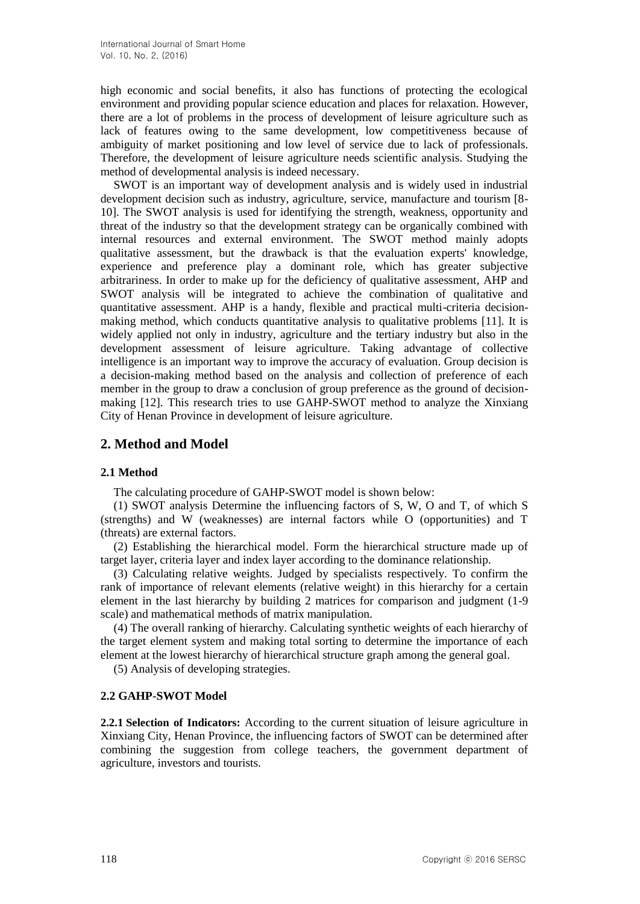high economic and social benefits, it also has functions of protecting the ecological environment and providing popular science education and places for relaxation. However, there are a lot of problems in the process of development of leisure agriculture such as lack of features owing to the same development, low competitiveness because of ambiguity of market positioning and low level of service due to lack of professionals. Therefore, the development of leisure agriculture needs scientific analysis. Studying the method of developmental analysis is indeed necessary.

SWOT is an important way of development analysis and is widely used in industrial development decision such as industry, agriculture, service, manufacture and tourism [8- 10]. The SWOT analysis is used for identifying the strength, weakness, opportunity and threat of the industry so that the development strategy can be organically combined with internal resources and external environment. The SWOT method mainly adopts qualitative assessment, but the drawback is that the evaluation experts' knowledge, experience and preference play a dominant role, which has greater subjective arbitrariness. In order to make up for the deficiency of qualitative assessment, AHP and SWOT analysis will be integrated to achieve the combination of qualitative and quantitative assessment. AHP is a handy, flexible and practical multi-criteria decisionmaking method, which conducts quantitative analysis to qualitative problems [11]. It is widely applied not only in industry, agriculture and the tertiary industry but also in the development assessment of leisure agriculture. Taking advantage of collective intelligence is an important way to improve the accuracy of evaluation. Group decision is a decision-making method based on the analysis and collection of preference of each member in the group to draw a conclusion of group preference as the ground of decisionmaking [12]. This research tries to use GAHP-SWOT method to analyze the Xinxiang City of Henan Province in development of leisure agriculture.

### **2. Method and Model**

#### **2.1 Method**

The calculating procedure of GAHP-SWOT model is shown below:

(1) SWOT analysis Determine the influencing factors of S, W, O and T, of which S (strengths) and W (weaknesses) are internal factors while O (opportunities) and T (threats) are external factors.

(2) Establishing the hierarchical model. Form the hierarchical structure made up of target layer, criteria layer and index layer according to the dominance relationship.

(3) Calculating relative weights. Judged by specialists respectively. To confirm the rank of importance of relevant elements (relative weight) in this hierarchy for a certain element in the last hierarchy by building 2 matrices for comparison and judgment (1-9 scale) and mathematical methods of matrix manipulation.

(4) The overall ranking of hierarchy. Calculating synthetic weights of each hierarchy of the target element system and making total sorting to determine the importance of each element at the lowest hierarchy of hierarchical structure graph among the general goal.

(5) Analysis of developing strategies.

#### **2.2 GAHP-SWOT Model**

**2.2.1 Selection of Indicators:** According to the current situation of leisure agriculture in Xinxiang City, Henan Province, the influencing factors of SWOT can be determined after combining the suggestion from college teachers, the government department of agriculture, investors and tourists.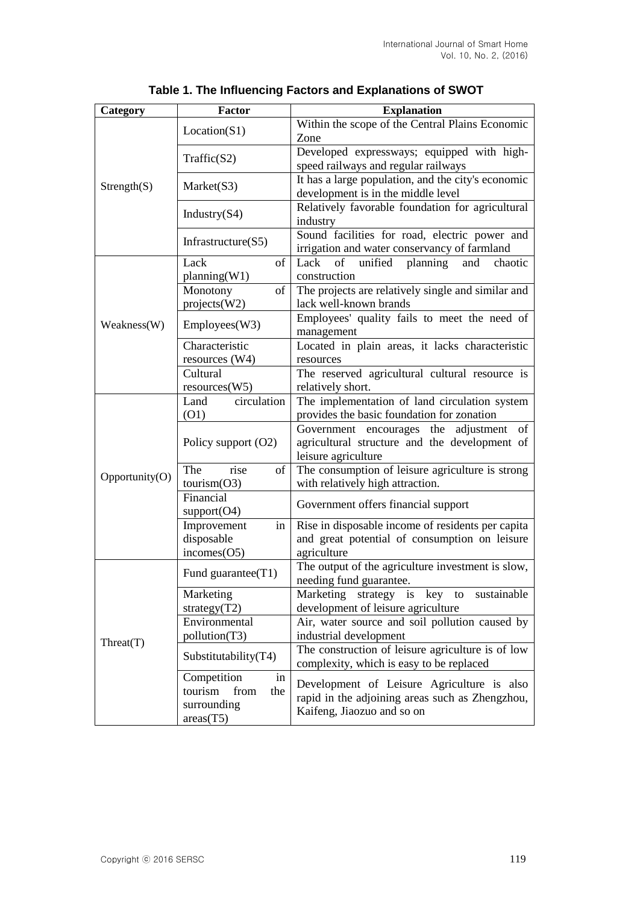| Category             | Factor                         | <b>Explanation</b>                                                                            |  |  |  |
|----------------------|--------------------------------|-----------------------------------------------------------------------------------------------|--|--|--|
|                      | Location(S1)                   | Within the scope of the Central Plains Economic                                               |  |  |  |
|                      |                                | Zone                                                                                          |  |  |  |
|                      | Traffic(S2)                    | Developed expressways; equipped with high-                                                    |  |  |  |
|                      |                                | speed railways and regular railways                                                           |  |  |  |
| $\text{Strength}(S)$ | Market(S3)                     | It has a large population, and the city's economic                                            |  |  |  |
|                      |                                | development is in the middle level                                                            |  |  |  |
|                      | Industry $(S4)$                | Relatively favorable foundation for agricultural                                              |  |  |  |
|                      |                                | industry                                                                                      |  |  |  |
|                      | Infrastructure $(S5)$          | Sound facilities for road, electric power and<br>irrigation and water conservancy of farmland |  |  |  |
|                      | Lack<br>of                     | Lack<br>of<br>unified<br>planning<br>and<br>chaotic                                           |  |  |  |
|                      | planning(W1)                   | construction                                                                                  |  |  |  |
|                      | Monotony<br>of                 | The projects are relatively single and similar and                                            |  |  |  |
|                      | projects(W2)                   | lack well-known brands                                                                        |  |  |  |
|                      |                                | Employees' quality fails to meet the need of                                                  |  |  |  |
| Weakness(W)          | Employees(W3)                  | management                                                                                    |  |  |  |
|                      | Characteristic                 | Located in plain areas, it lacks characteristic                                               |  |  |  |
|                      | resources $(W4)$               | resources                                                                                     |  |  |  |
|                      | Cultural                       | The reserved agricultural cultural resource is                                                |  |  |  |
|                      | resources(W5)                  | relatively short.                                                                             |  |  |  |
|                      | Land<br>circulation            | The implementation of land circulation system                                                 |  |  |  |
|                      | (01)                           | provides the basic foundation for zonation                                                    |  |  |  |
|                      |                                | Government encourages the adjustment<br>of                                                    |  |  |  |
|                      | Policy support (O2)            | agricultural structure and the development of                                                 |  |  |  |
|                      | rise<br>The<br>of              | leisure agriculture<br>The consumption of leisure agriculture is strong                       |  |  |  |
| Opportunity(O)       | tourism(O3)                    | with relatively high attraction.                                                              |  |  |  |
|                      | Financial                      |                                                                                               |  |  |  |
|                      | support(O4)                    | Government offers financial support                                                           |  |  |  |
|                      | Improvement<br>in              | Rise in disposable income of residents per capita                                             |  |  |  |
|                      | disposable                     | and great potential of consumption on leisure                                                 |  |  |  |
|                      | incomes(O5)                    | agriculture                                                                                   |  |  |  |
|                      | Fund guarantee $(T1)$          | The output of the agriculture investment is slow,                                             |  |  |  |
|                      |                                | needing fund guarantee.                                                                       |  |  |  |
|                      | Marketing                      | Marketing<br>strategy is key to<br>sustainable                                                |  |  |  |
|                      | strategy $(T2)$                | development of leisure agriculture                                                            |  |  |  |
|                      | Environmental<br>pollution(T3) | Air, water source and soil pollution caused by<br>industrial development                      |  |  |  |
| Threat(T)            |                                | The construction of leisure agriculture is of low                                             |  |  |  |
|                      | Substitutability(T4)           | complexity, which is easy to be replaced                                                      |  |  |  |
|                      | Competition<br>in              |                                                                                               |  |  |  |
|                      | tourism<br>from<br>the         | Development of Leisure Agriculture is also                                                    |  |  |  |
|                      | surrounding                    | rapid in the adjoining areas such as Zhengzhou,<br>Kaifeng, Jiaozuo and so on                 |  |  |  |
|                      | area(T5)                       |                                                                                               |  |  |  |

| Table 1. The Influencing Factors and Explanations of SWOT |  |
|-----------------------------------------------------------|--|
|-----------------------------------------------------------|--|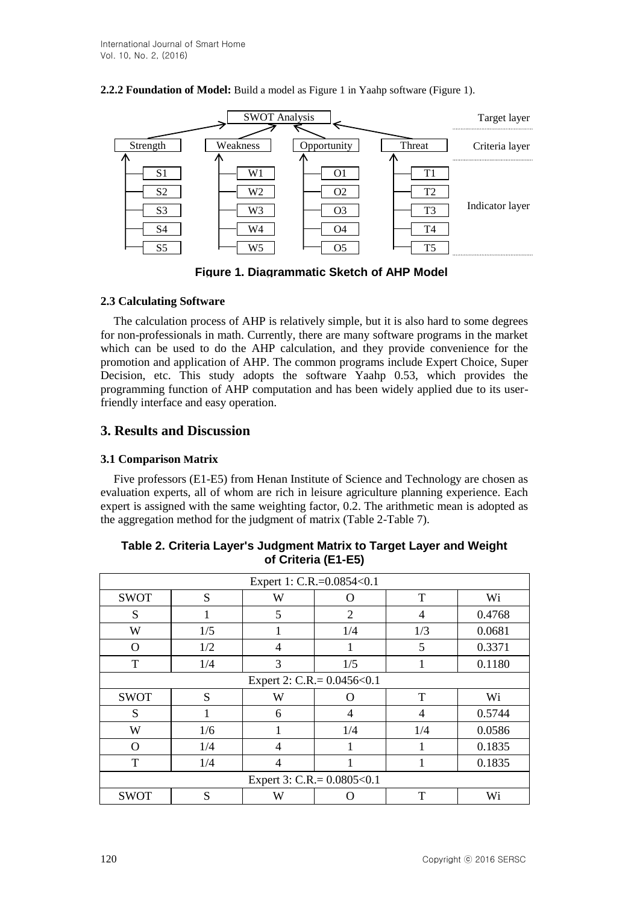**2.2.2 Foundation of Model:** Build a model as Figure 1 in Yaahp software (Figure 1).



**Figure 1. Diagrammatic Sketch of AHP Model**

### **2.3 Calculating Software**

The calculation process of AHP is relatively simple, but it is also hard to some degrees for non-professionals in math. Currently, there are many software programs in the market which can be used to do the AHP calculation, and they provide convenience for the promotion and application of AHP. The common programs include Expert Choice, Super Decision, etc. This study adopts the software Yaahp 0.53, which provides the programming function of AHP computation and has been widely applied due to its userfriendly interface and easy operation.

## **3. Results and Discussion**

### **3.1 Comparison Matrix**

Five professors (E1-E5) from Henan Institute of Science and Technology are chosen as evaluation experts, all of whom are rich in leisure agriculture planning experience. Each expert is assigned with the same weighting factor, 0.2. The arithmetic mean is adopted as the aggregation method for the judgment of matrix (Table 2-Table 7).

| Expert 1: C.R.=0.0854<0.1       |                                 |   |                |                |        |  |  |  |
|---------------------------------|---------------------------------|---|----------------|----------------|--------|--|--|--|
| <b>SWOT</b>                     | S                               | W | O              | T              | Wi     |  |  |  |
| S                               |                                 | 5 | $\overline{2}$ | $\overline{4}$ | 0.4768 |  |  |  |
| W                               | 1/5                             |   | 1/4            | 1/3            | 0.0681 |  |  |  |
| O                               | 1/2                             | 4 |                | 5              | 0.3371 |  |  |  |
| T                               | 1/4                             | 3 | 1/5            | 1              | 0.1180 |  |  |  |
|                                 | Expert 2: C.R. = $0.0456 < 0.1$ |   |                |                |        |  |  |  |
| <b>SWOT</b>                     | S                               | W | ( )            | T              | Wi     |  |  |  |
| S                               |                                 | 6 | 4              | $\overline{4}$ | 0.5744 |  |  |  |
| W                               | 1/6                             |   | 1/4            | 1/4            | 0.0586 |  |  |  |
| $\Omega$                        | 1/4                             | 4 |                |                | 0.1835 |  |  |  |
| T                               | 1/4                             | 4 |                |                | 0.1835 |  |  |  |
| Expert 3: C.R. = $0.0805 < 0.1$ |                                 |   |                |                |        |  |  |  |
| <b>SWOT</b>                     | S                               | W |                | T              | Wi     |  |  |  |

**Table 2. Criteria Layer's Judgment Matrix to Target Layer and Weight of Criteria (E1-E5)**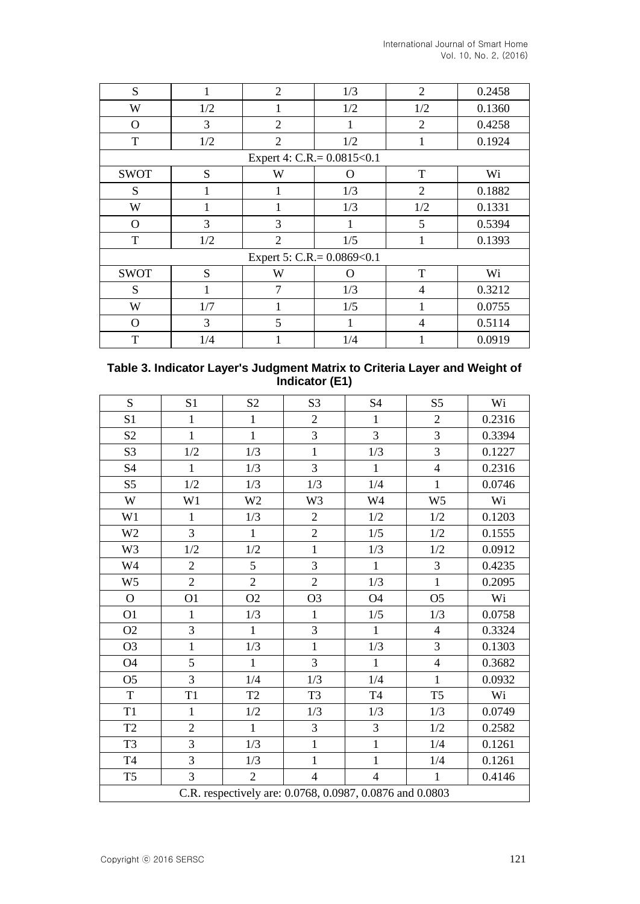| S           | 1   | $\overline{2}$             | 1/3 | $\overline{2}$ | 0.2458 |
|-------------|-----|----------------------------|-----|----------------|--------|
| W           | 1/2 | 1                          | 1/2 | 1/2            | 0.1360 |
| $\Omega$    | 3   | $\overline{2}$             | 1   | 2              | 0.4258 |
| T           | 1/2 | 2                          | 1/2 | 1              | 0.1924 |
|             |     | Expert 4: C.R.= 0.0815<0.1 |     |                |        |
| <b>SWOT</b> | S   | W                          | O   | T              | Wi     |
| S           | 1   | 1                          | 1/3 | 2              | 0.1882 |
| W           | 1   |                            | 1/3 | 1/2            | 0.1331 |
| $\Omega$    | 3   | 3                          | 1   | 5              | 0.5394 |
| T           | 1/2 | $\overline{2}$             | 1/5 | 1              | 0.1393 |
|             |     | Expert 5: C.R.= 0.0869<0.1 |     |                |        |
| <b>SWOT</b> | S   | W                          | O   | T              | Wi     |
| S           | 1   | 7                          | 1/3 | 4              | 0.3212 |
| W           | 1/7 | 1                          | 1/5 | 1              | 0.0755 |
| $\Omega$    | 3   | 5                          | 1   | $\overline{4}$ | 0.5114 |
| T           | 1/4 | 1                          | 1/4 | 1              | 0.0919 |

| Table 3. Indicator Layer's Judgment Matrix to Criteria Layer and Weight of |
|----------------------------------------------------------------------------|
| Indicator (E1)                                                             |

| S              | S1             | S <sub>2</sub>                                           | S3             | <b>S4</b>      | S <sub>5</sub> | Wi     |
|----------------|----------------|----------------------------------------------------------|----------------|----------------|----------------|--------|
| S <sub>1</sub> | $\mathbf{1}$   | $\mathbf{1}$                                             | $\overline{2}$ | $\mathbf{1}$   | $\overline{2}$ | 0.2316 |
| S <sub>2</sub> | $\mathbf{1}$   | $\mathbf{1}$                                             | $\overline{3}$ | 3              | 3              | 0.3394 |
| S3             | $1/2$          | 1/3                                                      | $\mathbf{1}$   | 1/3            | 3              | 0.1227 |
| <b>S4</b>      | $\mathbf{1}$   | 1/3                                                      | 3              | $\mathbf{1}$   | $\overline{4}$ | 0.2316 |
| S <sub>5</sub> | $1/2\,$        | 1/3                                                      | 1/3            | 1/4            | $\mathbf{1}$   | 0.0746 |
| W              | W1             | W <sub>2</sub>                                           | W3             | W4             | W <sub>5</sub> | Wi     |
| W1             | $\mathbf{1}$   | 1/3                                                      | $\overline{2}$ | 1/2            | 1/2            | 0.1203 |
| W <sub>2</sub> | 3              | $\mathbf{1}$                                             | $\overline{2}$ | $1/5$          | 1/2            | 0.1555 |
| W <sub>3</sub> | 1/2            | 1/2                                                      | $\mathbf{1}$   | 1/3            | 1/2            | 0.0912 |
| W4             | $\overline{2}$ | 5                                                        | 3              | $\mathbf{1}$   | 3              | 0.4235 |
| W <sub>5</sub> | $\overline{2}$ | $\overline{2}$                                           | $\overline{2}$ | 1/3            | $\mathbf{1}$   | 0.2095 |
| $\mathbf{O}$   | O <sub>1</sub> | O2                                                       | O <sub>3</sub> | O4             | O <sub>5</sub> | Wi     |
| O <sub>1</sub> | 1              | 1/3                                                      | $\mathbf{1}$   | 1/5            | 1/3            | 0.0758 |
| O2             | 3              | $\mathbf{1}$                                             | $\overline{3}$ | $\mathbf{1}$   | $\overline{4}$ | 0.3324 |
| O <sub>3</sub> | $\mathbf{1}$   | 1/3                                                      | $\mathbf{1}$   | 1/3            | 3              | 0.1303 |
| O4             | 5              | $\mathbf{1}$                                             | 3              | 1              | $\overline{4}$ | 0.3682 |
| O <sub>5</sub> | 3              | 1/4                                                      | 1/3            | 1/4            | $\mathbf{1}$   | 0.0932 |
| $\mathbf T$    | T <sub>1</sub> | T2                                                       | T <sub>3</sub> | <b>T4</b>      | T <sub>5</sub> | Wi     |
| T1             | $\mathbf{1}$   | 1/2                                                      | 1/3            | 1/3            | 1/3            | 0.0749 |
| T <sub>2</sub> | $\overline{2}$ | $\mathbf{1}$                                             | 3              | 3              | $1/2$          | 0.2582 |
| T <sub>3</sub> | 3              | 1/3                                                      | $\mathbf{1}$   | $\mathbf{1}$   | 1/4            | 0.1261 |
| <b>T4</b>      | $\overline{3}$ | 1/3                                                      | $\mathbf{1}$   | $\mathbf{1}$   | 1/4            | 0.1261 |
| T <sub>5</sub> | 3              | $\overline{2}$                                           | $\overline{4}$ | $\overline{4}$ | $\mathbf{1}$   | 0.4146 |
|                |                | C.R. respectively are: 0.0768, 0.0987, 0.0876 and 0.0803 |                |                |                |        |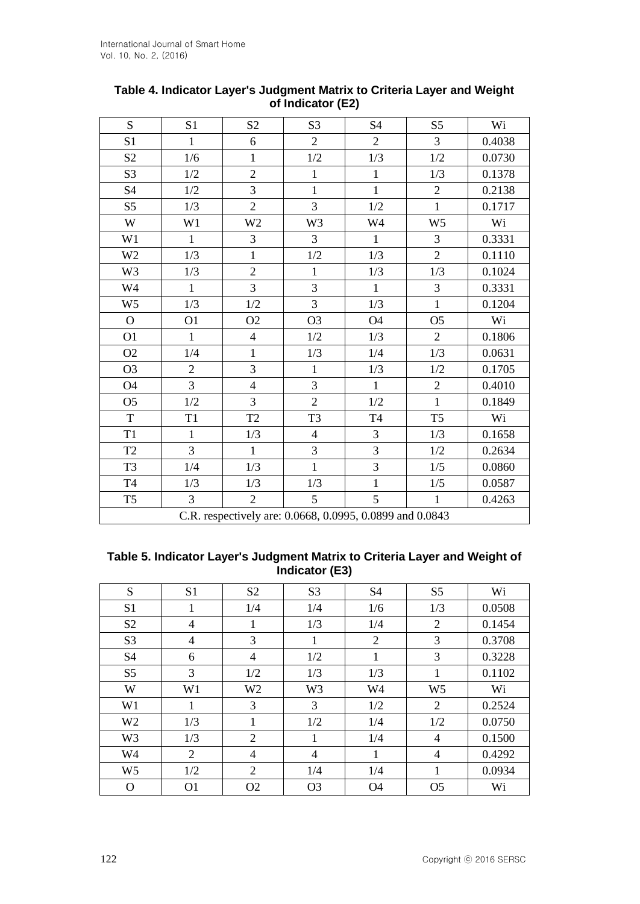| S              | S1             | S <sub>2</sub> | S <sub>3</sub>                                           | S4             | S <sub>5</sub> | Wi     |
|----------------|----------------|----------------|----------------------------------------------------------|----------------|----------------|--------|
| S <sub>1</sub> | $\mathbf{1}$   | 6              | $\overline{2}$                                           | $\overline{2}$ | 3              | 0.4038 |
| S <sub>2</sub> | 1/6            | $\mathbf{1}$   | $1/2\,$                                                  | $1/3$          | $1/2$          | 0.0730 |
| S3             | 1/2            | $\overline{2}$ | $\mathbf{1}$                                             | $\mathbf{1}$   | 1/3            | 0.1378 |
| <b>S4</b>      | 1/2            | 3              | $\mathbf{1}$                                             | $\mathbf{1}$   | $\overline{2}$ | 0.2138 |
| S <sub>5</sub> | 1/3            | $\overline{2}$ | 3                                                        | 1/2            | $\mathbf{1}$   | 0.1717 |
| W              | W1             | W <sub>2</sub> | W3                                                       | W4             | W <sub>5</sub> | Wi     |
| W1             | 1              | 3              | 3                                                        | $\mathbf{1}$   | 3              | 0.3331 |
| W <sub>2</sub> | 1/3            | $\mathbf{1}$   | $1/2$                                                    | 1/3            | $\overline{2}$ | 0.1110 |
| W <sub>3</sub> | 1/3            | $\overline{2}$ | $\mathbf{1}$                                             | 1/3            | 1/3            | 0.1024 |
| W4             | $\mathbf{1}$   | 3              | 3                                                        | $\mathbf{1}$   | 3              | 0.3331 |
| W <sub>5</sub> | 1/3            | 1/2            | $\overline{3}$                                           | 1/3            | $\mathbf{1}$   | 0.1204 |
| $\mathbf{O}$   | O <sub>1</sub> | O2             | O <sub>3</sub>                                           | <b>O4</b>      | O <sub>5</sub> | Wi     |
| O <sub>1</sub> | $\mathbf{1}$   | $\overline{4}$ | $1/2$                                                    | 1/3            | $\overline{2}$ | 0.1806 |
| O2             | 1/4            | $\mathbf{1}$   | 1/3                                                      | 1/4            | 1/3            | 0.0631 |
| O <sub>3</sub> | $\overline{2}$ | $\overline{3}$ | $\mathbf{1}$                                             | 1/3            | 1/2            | 0.1705 |
| O4             | 3              | $\overline{4}$ | 3                                                        | $\mathbf{1}$   | $\overline{2}$ | 0.4010 |
| O <sub>5</sub> | 1/2            | 3              | $\overline{2}$                                           | 1/2            | $\mathbf{1}$   | 0.1849 |
| T              | T1             | T <sub>2</sub> | T <sub>3</sub>                                           | T <sub>4</sub> | T <sub>5</sub> | Wi     |
| T1             | $\mathbf{1}$   | 1/3            | $\overline{4}$                                           | 3              | 1/3            | 0.1658 |
| T <sub>2</sub> | 3              | $\mathbf{1}$   | 3                                                        | 3              | 1/2            | 0.2634 |
| T <sub>3</sub> | 1/4            | 1/3            | $\mathbf{1}$                                             | 3              | 1/5            | 0.0860 |
| T <sub>4</sub> | 1/3            | 1/3            | 1/3                                                      | $\mathbf{1}$   | 1/5            | 0.0587 |
| T <sub>5</sub> | $\overline{3}$ | $\overline{2}$ | 5                                                        | 5              | $\mathbf{1}$   | 0.4263 |
|                |                |                | C.R. respectively are: 0.0668, 0.0995, 0.0899 and 0.0843 |                |                |        |

## **Table 4. Indicator Layer's Judgment Matrix to Criteria Layer and Weight of Indicator (E2)**

## **Table 5. Indicator Layer's Judgment Matrix to Criteria Layer and Weight of Indicator (E3)**

| S              | S <sub>1</sub> | S <sub>2</sub> | S <sub>3</sub> | S <sub>4</sub> | S <sub>5</sub> | Wi     |
|----------------|----------------|----------------|----------------|----------------|----------------|--------|
| S <sub>1</sub> | 1              | 1/4            | 1/4            | 1/6            | 1/3            | 0.0508 |
| S <sub>2</sub> | $\overline{4}$ | 1              | 1/3            | 1/4            | $\overline{2}$ | 0.1454 |
| S <sub>3</sub> | $\overline{4}$ | 3              | 1              | $\overline{2}$ | 3              | 0.3708 |
| S <sub>4</sub> | 6              | $\overline{4}$ | 1/2            | 1              | 3              | 0.3228 |
| S <sub>5</sub> | 3              | 1/2            | 1/3            | 1/3            | 1              | 0.1102 |
| W              | W1             | W <sub>2</sub> | W <sub>3</sub> | W4             | W <sub>5</sub> | Wi     |
| W1             | 1              | 3              | 3              | 1/2            | $\overline{2}$ | 0.2524 |
| W <sub>2</sub> | 1/3            | 1              | 1/2            | 1/4            | 1/2            | 0.0750 |
| W <sub>3</sub> | 1/3            | $\overline{2}$ | 1              | 1/4            | 4              | 0.1500 |
| W4             | $\overline{2}$ | $\overline{4}$ | 4              | 1              | 4              | 0.4292 |
| W <sub>5</sub> | 1/2            | $\overline{2}$ | 1/4            | 1/4            | 1              | 0.0934 |
| O              | O <sub>1</sub> | O <sub>2</sub> | O <sub>3</sub> | O4             | O <sub>5</sub> | Wi     |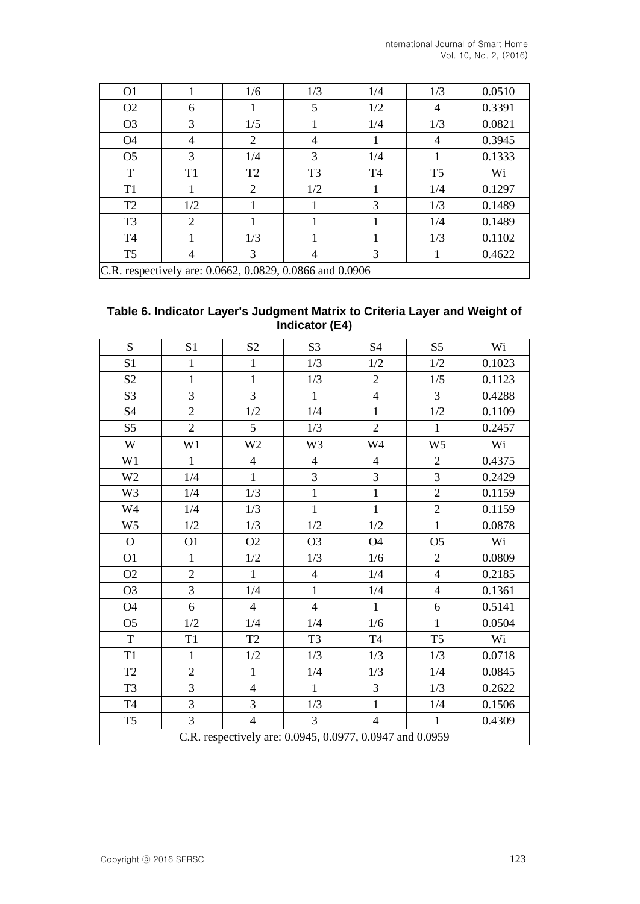| O <sub>1</sub> |                | 1/6            | 1/3            | 1/4            | 1/3            | 0.0510                                                   |  |  |  |  |  |  |  |  |
|----------------|----------------|----------------|----------------|----------------|----------------|----------------------------------------------------------|--|--|--|--|--|--|--|--|
| O <sub>2</sub> | 6              |                | 5              | 1/2            | 4              | 0.3391                                                   |  |  |  |  |  |  |  |  |
| O <sub>3</sub> | 3              | 1/5            |                | 1/4            | 1/3            | 0.0821                                                   |  |  |  |  |  |  |  |  |
| O <sub>4</sub> | 4              | 2              | 4              | 1              | $\overline{4}$ | 0.3945                                                   |  |  |  |  |  |  |  |  |
| O <sub>5</sub> | 3              | 1/4            | 3              | 1/4            |                | 0.1333                                                   |  |  |  |  |  |  |  |  |
| T              | T <sub>1</sub> | T <sub>2</sub> | T <sub>3</sub> | T <sub>4</sub> | T <sub>5</sub> | Wi                                                       |  |  |  |  |  |  |  |  |
| T <sub>1</sub> |                | 2              | 1/2            | 1              | 1/4            | 0.1297                                                   |  |  |  |  |  |  |  |  |
| T <sub>2</sub> | 1/2            |                |                | 3              | 1/3            | 0.1489                                                   |  |  |  |  |  |  |  |  |
| T <sub>3</sub> | 2              |                |                |                | 1/4            | 0.1489                                                   |  |  |  |  |  |  |  |  |
| T <sub>4</sub> |                | 1/3            |                |                | 1/3            | 0.1102                                                   |  |  |  |  |  |  |  |  |
| T <sub>5</sub> | 4              | 3              | 4              | 3              |                | 0.4622                                                   |  |  |  |  |  |  |  |  |
|                |                |                |                |                |                | C.R. respectively are: 0.0662, 0.0829, 0.0866 and 0.0906 |  |  |  |  |  |  |  |  |

### **Table 6. Indicator Layer's Judgment Matrix to Criteria Layer and Weight of Indicator (E4)**

| S                          | S1             | S <sub>2</sub>                                           | S <sub>3</sub> | S4             | S <sub>5</sub> | Wi     |
|----------------------------|----------------|----------------------------------------------------------|----------------|----------------|----------------|--------|
| S <sub>1</sub>             | $\mathbf{1}$   | $\mathbf{1}$                                             | 1/3            | 1/2            | $1/2$          | 0.1023 |
| $\ensuremath{\mathrm{S2}}$ | $\mathbf{1}$   | $\mathbf{1}$                                             | 1/3            | $\sqrt{2}$     | 1/5            | 0.1123 |
| S <sub>3</sub>             | 3              | 3                                                        | $\mathbf{1}$   | $\overline{4}$ | $\overline{3}$ | 0.4288 |
| S <sub>4</sub>             | $\overline{2}$ | 1/2                                                      | 1/4            | $\mathbf{1}$   | 1/2            | 0.1109 |
| S <sub>5</sub>             | $\overline{2}$ | 5                                                        | 1/3            | $\overline{2}$ | $\mathbf{1}$   | 0.2457 |
| W                          | W1             | W <sub>2</sub>                                           | W3             | W4             | W <sub>5</sub> | Wi     |
| W1                         | $\mathbf{1}$   | $\overline{4}$                                           | $\overline{4}$ | $\overline{4}$ | $\overline{2}$ | 0.4375 |
| W <sub>2</sub>             | 1/4            | $\mathbf{1}$                                             | $\overline{3}$ | $\mathfrak{Z}$ | 3              | 0.2429 |
| W3                         | 1/4            | 1/3                                                      | $\mathbf{1}$   | $\mathbf{1}$   | $\overline{2}$ | 0.1159 |
| W4                         | 1/4            | 1/3                                                      | $\mathbf{1}$   | $\mathbf{1}$   | $\overline{2}$ | 0.1159 |
| W <sub>5</sub>             | $1/2\,$        | 1/3                                                      | $1/2\,$        | $1/2$          | $\mathbf{1}$   | 0.0878 |
| $\mathbf{O}$               | O <sub>1</sub> | O2                                                       | O <sub>3</sub> | O4             | O <sub>5</sub> | Wi     |
| O <sub>1</sub>             | $\mathbf{1}$   | 1/2                                                      | 1/3            | 1/6            | $\overline{2}$ | 0.0809 |
| O2                         | $\overline{2}$ | $\mathbf{1}$                                             | $\overline{4}$ | 1/4            | $\overline{4}$ | 0.2185 |
| O <sub>3</sub>             | 3              | 1/4                                                      | $\mathbf{1}$   | 1/4            | $\overline{4}$ | 0.1361 |
| <b>O4</b>                  | 6              | $\overline{4}$                                           | $\overline{4}$ | $\mathbf{1}$   | 6              | 0.5141 |
| O <sub>5</sub>             | 1/2            | 1/4                                                      | 1/4            | 1/6            | $\mathbf{1}$   | 0.0504 |
| $\mathbf T$                | T1             | $\operatorname{T2}$                                      | T <sub>3</sub> | <b>T4</b>      | T <sub>5</sub> | Wi     |
| T1                         | $\mathbf{1}$   | 1/2                                                      | 1/3            | 1/3            | 1/3            | 0.0718 |
| T <sub>2</sub>             | $\overline{2}$ | $\mathbf{1}$                                             | 1/4            | 1/3            | 1/4            | 0.0845 |
| T <sub>3</sub>             | 3              | $\overline{4}$                                           | $\mathbf{1}$   | 3              | 1/3            | 0.2622 |
| <b>T4</b>                  | 3              | 3                                                        | 1/3            | $\mathbf{1}$   | 1/4            | 0.1506 |
| T <sub>5</sub>             | $\overline{3}$ | $\overline{4}$                                           | 3              | $\overline{4}$ | 1              | 0.4309 |
|                            |                | C.R. respectively are: 0.0945, 0.0977, 0.0947 and 0.0959 |                |                |                |        |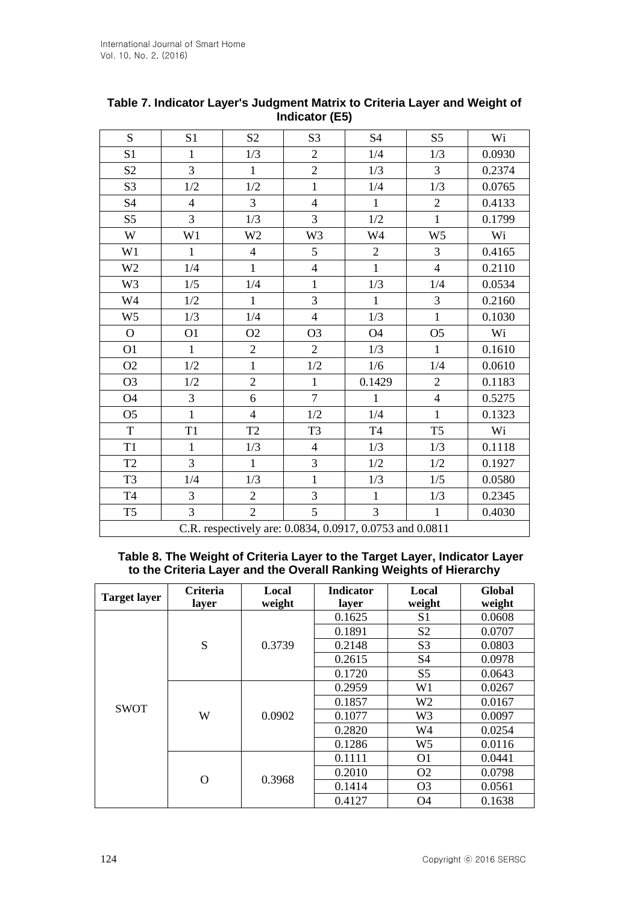| S              | S1             | S <sub>2</sub> | S <sub>3</sub>                                           | <b>S4</b>      | S <sub>5</sub> | Wi     |
|----------------|----------------|----------------|----------------------------------------------------------|----------------|----------------|--------|
| S <sub>1</sub> | $\mathbf{1}$   | 1/3            | $\overline{2}$                                           | 1/4            | 1/3            | 0.0930 |
| S <sub>2</sub> | 3              | $\mathbf{1}$   | $\overline{2}$                                           | 1/3            | $\overline{3}$ | 0.2374 |
| S <sub>3</sub> | $1/2\,$        | 1/2            | $\mathbf{1}$                                             | 1/4            | 1/3            | 0.0765 |
| <b>S4</b>      | $\overline{4}$ | $\overline{3}$ | $\overline{4}$                                           | $\mathbf{1}$   | $\overline{2}$ | 0.4133 |
| S <sub>5</sub> | 3              | 1/3            | 3                                                        | $1/2$          | $\mathbf{1}$   | 0.1799 |
| W              | W1             | W <sub>2</sub> | W <sub>3</sub>                                           | W4             | W <sub>5</sub> | Wi     |
| W1             | $\mathbf{1}$   | $\overline{4}$ | 5                                                        | $\overline{2}$ | $\overline{3}$ | 0.4165 |
| W <sub>2</sub> | 1/4            | $\mathbf{1}$   | $\overline{4}$                                           | $\mathbf{1}$   | $\overline{4}$ | 0.2110 |
| W <sub>3</sub> | 1/5            | 1/4            | $\mathbf{1}$                                             | 1/3            | 1/4            | 0.0534 |
| W4             | 1/2            | $\mathbf{1}$   | 3                                                        | $\mathbf{1}$   | 3              | 0.2160 |
| W <sub>5</sub> | 1/3            | 1/4            | $\overline{4}$                                           | 1/3            | $\mathbf{1}$   | 0.1030 |
| $\mathbf{O}$   | O <sub>1</sub> | O2             | O <sub>3</sub>                                           | O4             | O <sub>5</sub> | Wi     |
| O <sub>1</sub> | $\mathbf{1}$   | $\overline{2}$ | $\overline{2}$                                           | 1/3            | $\mathbf{1}$   | 0.1610 |
| O2             | 1/2            | $\mathbf{1}$   | $1/2\,$                                                  | 1/6            | 1/4            | 0.0610 |
| O <sub>3</sub> | 1/2            | $\overline{2}$ | $\mathbf{1}$                                             | 0.1429         | $\overline{2}$ | 0.1183 |
| <b>O4</b>      | 3              | 6              | $\overline{7}$                                           | $\mathbf{1}$   | $\overline{4}$ | 0.5275 |
| O <sub>5</sub> | $\mathbf{1}$   | $\overline{4}$ | 1/2                                                      | 1/4            | $\mathbf{1}$   | 0.1323 |
| $\mathbf T$    | T1             | T2             | T <sub>3</sub>                                           | T <sub>4</sub> | T <sub>5</sub> | Wi     |
| T1             | 1              | 1/3            | $\overline{4}$                                           | 1/3            | 1/3            | 0.1118 |
| T2             | 3              | $\mathbf{1}$   | 3                                                        | 1/2            | 1/2            | 0.1927 |
| T <sub>3</sub> | 1/4            | 1/3            | $\mathbf{1}$                                             | 1/3            | 1/5            | 0.0580 |
| <b>T4</b>      | 3              | $\mathfrak{2}$ | 3                                                        | $\mathbf{1}$   | 1/3            | 0.2345 |
| T <sub>5</sub> | $\overline{3}$ | $\overline{2}$ | 5                                                        | 3              | 1              | 0.4030 |
|                |                |                | C.R. respectively are: 0.0834, 0.0917, 0.0753 and 0.0811 |                |                |        |

## **Table 7. Indicator Layer's Judgment Matrix to Criteria Layer and Weight of Indicator (E5)**

**Table 8. The Weight of Criteria Layer to the Target Layer, Indicator Layer to the Criteria Layer and the Overall Ranking Weights of Hierarchy**

| <b>Target layer</b> | Criteria<br>layer | Local<br>weight | <b>Indicator</b><br>layer | Local<br>weight | Global<br>weight |
|---------------------|-------------------|-----------------|---------------------------|-----------------|------------------|
|                     |                   |                 | 0.1625                    | S <sub>1</sub>  | 0.0608           |
|                     |                   |                 | 0.1891                    | S <sub>2</sub>  | 0.0707           |
|                     | S                 | 0.3739          | 0.2148<br>0.2615          | S <sub>3</sub>  | 0.0803           |
|                     |                   |                 |                           | S <sub>4</sub>  | 0.0978           |
|                     |                   |                 | 0.1720                    | S <sub>5</sub>  | 0.0643           |
|                     | W                 |                 | 0.2959                    | W <sub>1</sub>  | 0.0267           |
| <b>SWOT</b>         |                   | 0.0902          | 0.1857                    | W <sub>2</sub>  | 0.0167           |
|                     |                   |                 | 0.1077                    | W <sub>3</sub>  | 0.0097           |
|                     |                   |                 | 0.2820                    | W4              | 0.0254           |
|                     |                   |                 | 0.1286                    | W <sub>5</sub>  | 0.0116           |
|                     |                   |                 | 0.1111                    | O <sub>1</sub>  | 0.0441           |
|                     |                   | 0.3968          | 0.2010                    | O <sub>2</sub>  | 0.0798           |
|                     | O                 |                 | 0.1414                    | O <sub>3</sub>  | 0.0561           |
|                     |                   |                 | 0.4127                    | O4              | 0.1638           |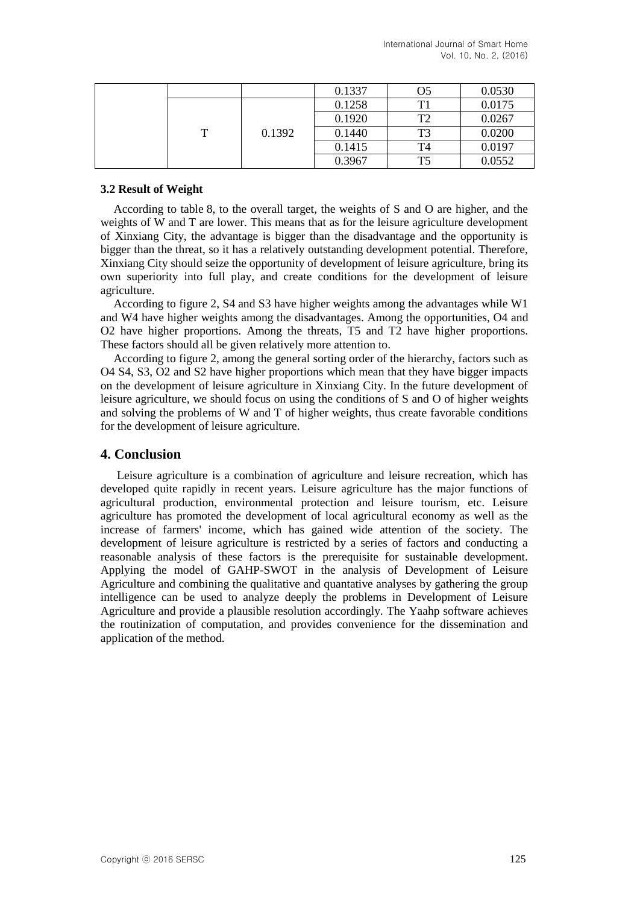|   |        | 0.1337 | O <sub>5</sub> | 0.0530 |
|---|--------|--------|----------------|--------|
| т | 0.1392 | 0.1258 | T1             | 0.0175 |
|   |        | 0.1920 | T2             | 0.0267 |
|   |        | 0.1440 | T <sub>3</sub> | 0.0200 |
|   |        | 0.1415 | T4             | 0.0197 |
|   |        | 0.3967 | T <sub>5</sub> | 0.0552 |

### **3.2 Result of Weight**

According to table 8, to the overall target, the weights of S and O are higher, and the weights of W and T are lower. This means that as for the leisure agriculture development of Xinxiang City, the advantage is bigger than the disadvantage and the opportunity is bigger than the threat, so it has a relatively outstanding development potential. Therefore, Xinxiang City should seize the opportunity of development of leisure agriculture, bring its own superiority into full play, and create conditions for the development of leisure agriculture.

According to figure 2, S4 and S3 have higher weights among the advantages while W1 and W4 have higher weights among the disadvantages. Among the opportunities, O4 and O2 have higher proportions. Among the threats, T5 and T2 have higher proportions. These factors should all be given relatively more attention to.

According to figure 2, among the general sorting order of the hierarchy, factors such as O4 S4, S3, O2 and S2 have higher proportions which mean that they have bigger impacts on the development of leisure agriculture in Xinxiang City. In the future development of leisure agriculture, we should focus on using the conditions of S and O of higher weights and solving the problems of W and T of higher weights, thus create favorable conditions for the development of leisure agriculture.

### **4. Conclusion**

Leisure agriculture is a combination of agriculture and leisure recreation, which has developed quite rapidly in recent years. Leisure agriculture has the major functions of agricultural production, environmental protection and leisure tourism, etc. Leisure agriculture has promoted the development of local agricultural economy as well as the increase of farmers' income, which has gained wide attention of the society. The development of leisure agriculture is restricted by a series of factors and conducting a reasonable analysis of these factors is the prerequisite for sustainable development. Applying the model of GAHP-SWOT in the analysis of Development of Leisure Agriculture and combining the qualitative and quantative analyses by gathering the group intelligence can be used to analyze deeply the problems in Development of Leisure Agriculture and provide a plausible resolution accordingly. The Yaahp software achieves the routinization of computation, and provides convenience for the dissemination and application of the method.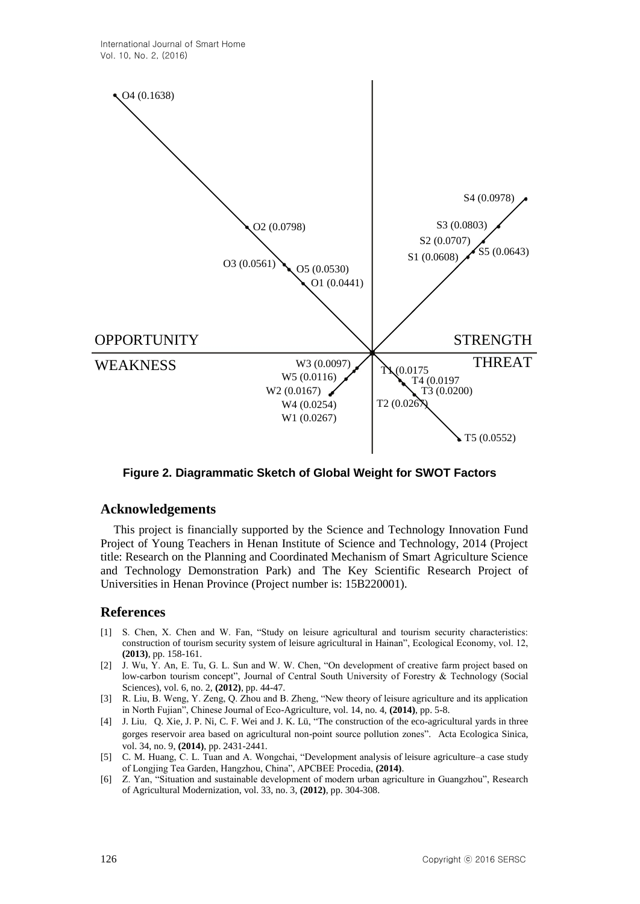

**Figure 2. Diagrammatic Sketch of Global Weight for SWOT Factors**

### **Acknowledgements**

This project is financially supported by the Science and Technology Innovation Fund Project of Young Teachers in Henan Institute of Science and Technology, 2014 (Project title: Research on the Planning and Coordinated Mechanism of Smart Agriculture Science and Technology Demonstration Park) and The Key Scientific Research Project of Universities in Henan Province (Project number is: 15B220001).

### **References**

- [1] S. Chen, X. Chen and W. Fan, "Study on leisure agricultural and tourism security characteristics: construction of tourism security system of leisure agricultural in Hainan", Ecological Economy, vol. 12, **(2013)**, pp. 158-161.
- [2] J. Wu, Y. An, E. Tu, G. L. Sun and W. W. Chen, "On development of creative farm project based on low-carbon tourism concept", Journal of Central South University of Forestry & Technology (Social Sciences), vol. 6, no. 2, **(2012)**, pp. 44-47.
- [3] R. Liu, B. Weng, Y. Zeng, Q. Zhou and B. Zheng, "New theory of leisure agriculture and its application in North Fujian‖, Chinese Journal of Eco-Agriculture, vol. 14, no. 4, **(2014)**, pp. 5-8.
- [4] J. Liu, Q. Xie, J. P. Ni, C. F. Wei and J. K. Lü, "The construction of the eco-agricultural yards in three gorges reservoir area based on agricultural non-point source pollution zones". Acta Ecologica Sinica, vol. 34, no. 9, **(2014)**, pp. 2431-2441.
- [5] C. M. Huang, C. L. Tuan and A. Wongchai, "Development analysis of leisure agriculture–a case study of Longjing Tea Garden, Hangzhou, China‖, APCBEE Procedia, **(2014)**.
- [6] Z. Yan, "Situation and sustainable development of modern urban agriculture in Guangzhou", Research of Agricultural Modernization, vol. 33, no. 3, **(2012)**, pp. 304-308.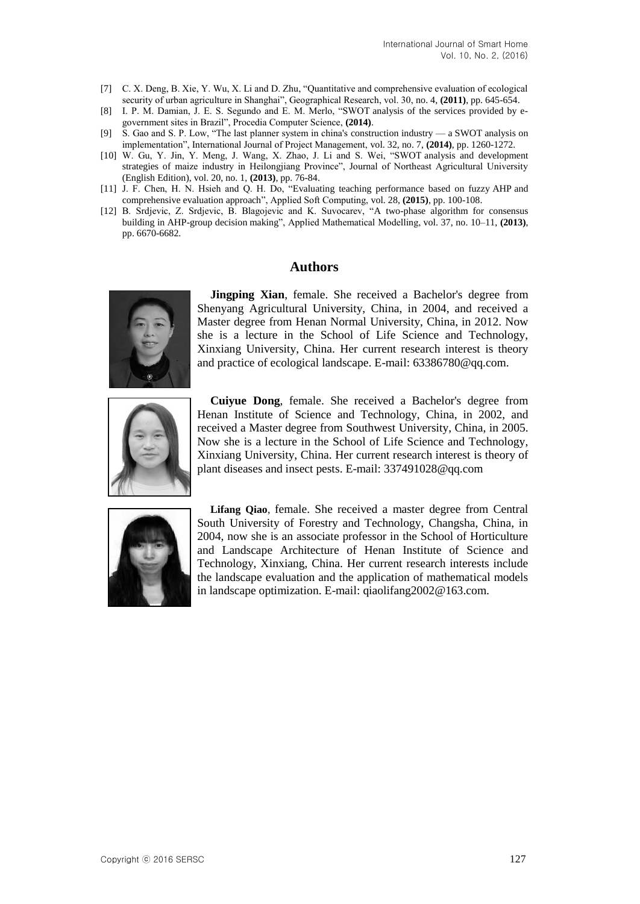- [7] C. X. Deng, B. Xie, Y. Wu, X. Li and D. Zhu, "Quantitative and comprehensive evaluation of ecological security of urban agriculture in Shanghai", Geographical Research, vol. 30, no. 4, (2011), pp. 645-654.
- [8] I. P. M. Damian, J. E. S. Segundo and E. M. Merlo, "SWOT analysis of the services provided by egovernment sites in Brazil", Procedia Computer Science, (2014).
- [9] S. Gao and S. P. Low, "The last planner system in china's construction industry a SWOT analysis on implementation‖, International Journal of Project Management, vol. 32, no. 7, **(2014)**, pp. 1260-1272.
- [10] W. Gu, Y. Jin, Y. Meng, J. Wang, X. Zhao, J. Li and S. Wei, "SWOT analysis and development strategies of maize industry in Heilongjiang Province", Journal of Northeast Agricultural University (English Edition), vol. 20, no. 1, **(2013)**, pp. 76-84.
- [11] J. F. Chen, H. N. Hsieh and Q. H. Do, "Evaluating teaching performance based on fuzzy AHP and [comprehensive evaluation approach‖](http://www.sciencedirect.com.rpa.skh.org.tw:81/science/article/pii/S1568494614006152), Applied Soft Computing, vol. 28, **(2015)**, pp. 100-108.
- [12] B. Srdjevic, Z. Srdjevic, B. Blagojevic and K. Suvocarev, "A two-phase algorithm for consensus building in [AHP-group decision](http://www.sciencedirect.com.rpa.skh.org.tw:81/science/article/pii/S0307904X13000504) making", Applied Mathematical Modelling, vol. 37, no. 10–11, (2013), pp. 6670-6682.

### **Authors**



**Jingping Xian**, female. She received a Bachelor's degree from Shenyang Agricultural University, China, in 2004, and received a Master degree from Henan Normal University, China, in 2012. Now she is a lecture in the School of Life Science and Technology, Xinxiang University, China. Her current research interest is theory and practice of ecological landscape. E-mail: 63386780@qq.com.



**Cuiyue Dong**, female. She received a Bachelor's degree from Henan Institute of Science and Technology, China, in 2002, and received a Master degree from Southwest University, China, in 2005. Now she is a lecture in the School of Life Science and Technology, Xinxiang University, China. Her current research interest is theory of plant diseases and insect pests. E-mail: 337491028@qq.com



**Lifang Qiao**, female. She received a master degree from Central South University of Forestry and Technology, Changsha, China, in 2004, now she is an associate professor in the School of Horticulture and Landscape Architecture of Henan Institute of Science and Technology, Xinxiang, China. Her current research interests include the landscape evaluation and the application of mathematical models in landscape optimization. E-mail: qiaolifang2002@163.com.